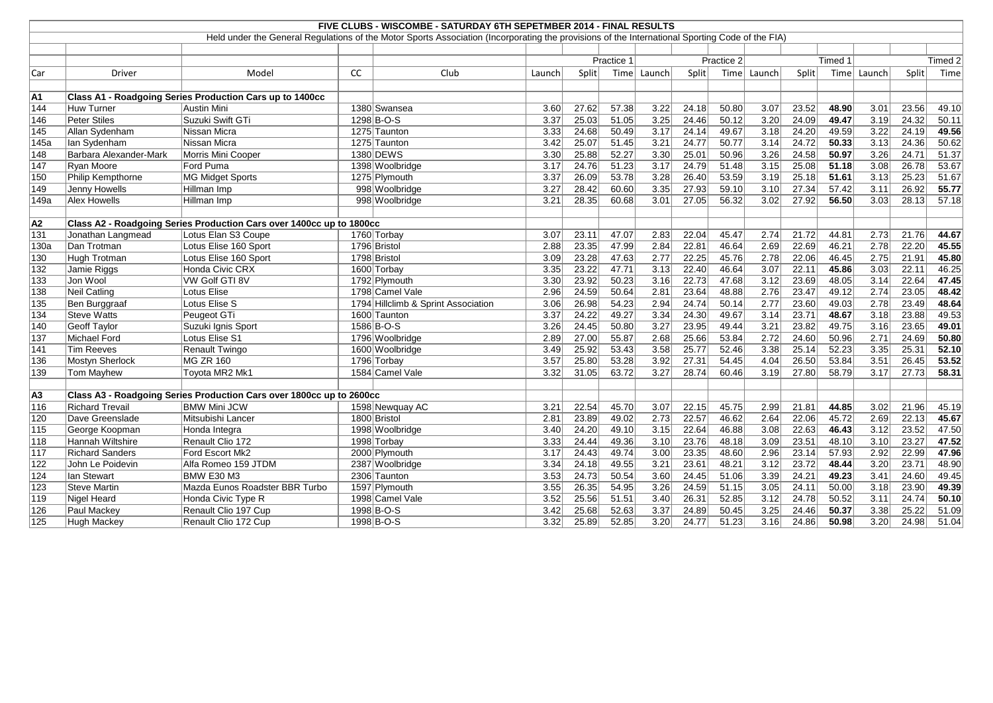|                  |                        |                                                                      |    | FIVE CLUBS - WISCOMBE - SATURDAY 6TH SEPETMBER 2014 - FINAL RESULTS                                                                             |        |       |            |        |              |            |        |       |         |        |       |                    |
|------------------|------------------------|----------------------------------------------------------------------|----|-------------------------------------------------------------------------------------------------------------------------------------------------|--------|-------|------------|--------|--------------|------------|--------|-------|---------|--------|-------|--------------------|
|                  |                        |                                                                      |    | Held under the General Regulations of the Motor Sports Association (Incorporating the provisions of the International Sporting Code of the FIA) |        |       |            |        |              |            |        |       |         |        |       |                    |
|                  |                        |                                                                      |    |                                                                                                                                                 |        |       |            |        |              |            |        |       |         |        |       |                    |
|                  |                        |                                                                      |    |                                                                                                                                                 |        |       | Practice 1 |        |              | Practice 2 |        |       | Timed 1 |        |       | Timed <sub>2</sub> |
| Car              | <b>Driver</b>          | Model                                                                | CC | Club                                                                                                                                            | Launch | Split | Time       | Launch | Split        | Time       | Launch | Split | Time    | Launch | Split | Time               |
|                  |                        |                                                                      |    |                                                                                                                                                 |        |       |            |        |              |            |        |       |         |        |       |                    |
| A1               |                        | Class A1 - Roadgoing Series Production Cars up to 1400cc             |    |                                                                                                                                                 |        |       |            |        |              |            |        |       |         |        |       |                    |
| 144              | Huw Turner             | Austin Mini                                                          |    | 1380 Swansea                                                                                                                                    | 3.60   | 27.62 | 57.38      | 3.22   | 24.18        | 50.80      | 3.07   | 23.52 | 48.90   | 3.01   | 23.56 | 49.10              |
| 146              | Peter Stiles           | Suzuki Swift GTi                                                     |    | 1298 B-O-S                                                                                                                                      | 3.37   | 25.03 | 51.05      | 3.25   | 24.46        | 50.12      | 3.20   | 24.09 | 49.47   | 3.19   | 24.32 | 50.11              |
| 145              | Allan Sydenham         | <b>Nissan Micra</b>                                                  |    | 1275 Taunton                                                                                                                                    | 3.33   | 24.68 | 50.49      | 3.17   | 24.14        | 49.67      | 3.18   | 24.20 | 49.59   | 3.22   | 24.19 | 49.56              |
| 145a             | Ian Sydenham           | Nissan Micra                                                         |    | 1275 Taunton                                                                                                                                    | 3.42   | 25.07 | 51.45      | 3.21   | 24.77        | 50.77      | 3.14   | 24.72 | 50.33   | 3.13   | 24.36 | 50.62              |
| 148              | Barbara Alexander-Mark | Morris Mini Cooper                                                   |    | 1380 DEWS                                                                                                                                       | 3.30   | 25.88 | 52.27      | 3.30   | 25.01        | 50.96      | 3.26   | 24.58 | 50.97   | 3.26   | 24.71 | 51.37              |
| 147              | Ryan Moore             | Ford Puma                                                            |    | 1398 Woolbridge                                                                                                                                 | 3.17   | 24.76 | 51.23      | 3.17   | 24.79        | 51.48      | 3.15   | 25.08 | 51.18   | 3.08   | 26.78 | 53.67              |
| 150              | Philip Kempthorne      | <b>MG Midget Sports</b>                                              |    | 1275 Plymouth                                                                                                                                   | 3.37   | 26.09 | 53.78      | 3.28   | 26.40        | 53.59      | 3.19   | 25.18 | 51.61   | 3.13   | 25.23 | 51.67              |
| 149              | Jenny Howells          | Hillman Imp                                                          |    | 998 Woolbridge                                                                                                                                  | 3.27   | 28.42 | 60.60      | 3.35   | 27.93        | 59.10      | 3.10   | 27.34 | 57.42   | 3.11   | 26.92 | 55.77              |
| 149a             | Alex Howells           | Hillman Imp                                                          |    | 998 Woolbridge                                                                                                                                  | 3.21   | 28.35 | 60.68      | 3.01   | 27.05        | 56.32      | 3.02   | 27.92 | 56.50   | 3.03   | 28.13 | 57.18              |
|                  |                        |                                                                      |    |                                                                                                                                                 |        |       |            |        |              |            |        |       |         |        |       |                    |
| A2               |                        | Class A2 - Roadgoing Series Production Cars over 1400cc up to 1800cc |    |                                                                                                                                                 |        |       |            |        |              |            |        |       |         |        |       |                    |
| 131              | Jonathan Langmead      | Lotus Elan S3 Coupe                                                  |    | 1760 Torbay                                                                                                                                     | 3.07   | 23.11 | 47.07      | 2.83   | 22.04        | 45.47      | 2.74   | 21.72 | 44.81   | 2.73   | 21.76 | 44.67              |
| 130a             | Dan Trotman            | Lotus Elise 160 Sport                                                |    | 1796 Bristol                                                                                                                                    | 2.88   | 23.35 | 47.99      | 2.84   | 22.81        | 46.64      | 2.69   | 22.69 | 46.21   | 2.78   | 22.20 | 45.55              |
| 130              | Hugh Trotman           | Lotus Elise 160 Sport                                                |    | 1798 Bristol                                                                                                                                    | 3.09   | 23.28 | 47.63      | 2.77   | 22.25        | 45.76      | 2.78   | 22.06 | 46.45   | 2.75   | 21.91 | 45.80              |
| $\overline{132}$ | Jamie Riggs            | Honda Civic CRX                                                      |    | 1600 Torbay                                                                                                                                     | 3.35   | 23.22 | 47.71      | 3.13   | 22.40        | 46.64      | 3.07   | 22.11 | 45.86   | 3.03   | 22.11 | 46.25              |
| 133              | Jon Wool               | <b>VW Golf GTI 8V</b>                                                |    | 1792 Plymouth                                                                                                                                   | 3.30   | 23.92 | 50.23      | 3.16   | 22.73        | 47.68      | 3.12   | 23.69 | 48.05   | 3.14   | 22.64 | 47.45              |
| 138              | Neil Catling           | Lotus Elise                                                          |    | 1798 Camel Vale                                                                                                                                 | 2.96   | 24.59 | 50.64      | 2.81   | 23.64        | 48.88      | 2.76   | 23.47 | 49.12   | 2.74   | 23.05 | 48.42              |
| 135              | Ben Burggraaf          | Lotus Elise S                                                        |    | 1794 Hillclimb & Sprint Association                                                                                                             | 3.06   | 26.98 | 54.23      | 2.94   | 24.74        | 50.14      | 2.77   | 23.60 | 49.03   | 2.78   | 23.49 | 48.64              |
| 134              | Steve Watts            | Peugeot GTi                                                          |    | 1600 Taunton                                                                                                                                    | 3.37   | 24.22 | 49.27      | 3.34   | 24.30        | 49.67      | 3.14   | 23.71 | 48.67   | 3.18   | 23.88 | 49.53              |
| 140              | Geoff Taylor           | Suzuki Ignis Sport                                                   |    | 1586 B-O-S                                                                                                                                      | 3.26   | 24.45 | 50.80      | 3.27   | 23.95        | 49.44      | 3.21   | 23.82 | 49.75   | 3.16   | 23.65 | 49.01              |
| 137              | Michael Ford           | Lotus Elise S1                                                       |    | 1796 Woolbridge                                                                                                                                 | 2.89   | 27.00 | 55.87      | 2.68   | 25.66        | 53.84      | 2.72   | 24.60 | 50.96   | 2.71   | 24.69 | 50.80              |
| 141              | Tim Reeves             | <b>Renault Twingo</b>                                                |    | 1600 Woolbridge                                                                                                                                 | 3.49   | 25.92 | 53.43      | 3.58   | 25.77        | 52.46      | 3.38   | 25.14 | 52.23   | 3.35   | 25.31 | 52.10              |
| 136              | Mostyn Sherlock        | <b>MG ZR 160</b>                                                     |    | 1796 Torbay                                                                                                                                     | 3.57   | 25.80 | 53.28      | 3.92   | 27.31        | 54.45      | 4.04   | 26.50 | 53.84   | 3.51   | 26.45 | 53.52              |
| 139              | <b>Tom Mayhew</b>      | Toyota MR2 Mk1                                                       |    | 1584 Camel Vale                                                                                                                                 | 3.32   | 31.05 | 63.72      | 3.27   | 28.74        | 60.46      | 3.19   | 27.80 | 58.79   | 3.17   | 27.73 | 58.31              |
|                  |                        |                                                                      |    |                                                                                                                                                 |        |       |            |        |              |            |        |       |         |        |       |                    |
| A3               |                        | Class A3 - Roadgoing Series Production Cars over 1800cc up to 2600cc |    |                                                                                                                                                 |        |       |            |        |              |            |        |       |         |        |       |                    |
| 116              | <b>Richard Trevail</b> | <b>BMW Mini JCW</b>                                                  |    | 1598 Newquay AC                                                                                                                                 | 3.21   | 22.54 | 45.70      | 3.07   | 22.15        | 45.75      | 2.99   | 21.81 | 44.85   | 3.02   | 21.96 | 45.19              |
| 120              | Dave Greenslade        | Mitsubishi Lancer                                                    |    | 1800 Bristol                                                                                                                                    | 2.81   | 23.89 | 49.02      | 2.73   | 22.57        | 46.62      | 2.64   | 22.06 | 45.72   | 2.69   | 22.13 | 45.67              |
| $115$            | George Koopman         | Honda Integra                                                        |    | 1998 Woolbridge                                                                                                                                 | 3.40   | 24.20 | 49.10      | 3.15   | 22.64        | 46.88      | 3.08   | 22.63 | 46.43   | 3.12   | 23.52 | 47.50              |
| 118              | Hannah Wiltshire       | Renault Clio 172                                                     |    | 1998 Torbay                                                                                                                                     | 3.33   | 24.44 | 49.36      | 3.10   | 23.76        | 48.18      | 3.09   | 23.51 | 48.10   | 3.10   | 23.27 | 47.52              |
| 117              | <b>Richard Sanders</b> | Ford Escort Mk2                                                      |    | 2000 Plymouth                                                                                                                                   | 3.17   | 24.43 | 49.74      | 3.00   | 23.35        | 48.60      | 2.96   | 23.14 | 57.93   | 2.92   | 22.99 | 47.96              |
| 122              | John Le Poidevin       | Alfa Romeo 159 JTDM                                                  |    | 2387 Woolbridge                                                                                                                                 | 3.34   | 24.18 | 49.55      | 3.21   | 23.61        | 48.21      | 3.12   | 23.72 | 48.44   | 3.20   | 23.71 | 48.90              |
| 124              | Ian Stewart            | BMW E30 M3                                                           |    | 2306 Taunton                                                                                                                                    | 3.53   | 24.73 | 50.54      | 3.60   | 24.45        | 51.06      | 3.39   | 24.21 | 49.23   | 3.41   | 24.60 | 49.45              |
| 123              | Steve Martin           | Mazda Eunos Roadster BBR Turbo                                       |    | 1597 Plymouth                                                                                                                                   | 3.55   | 26.35 | 54.95      | 3.26   | 24.59        | 51.15      | 3.05   | 24.11 | 50.00   | 3.18   | 23.90 | 49.39              |
| 119              | Nigel Heard            | Honda Civic Type R                                                   |    | 1998 Camel Vale                                                                                                                                 | 3.52   | 25.56 | 51.51      | 3.40   | 26.31        | 52.85      | 3.12   | 24.78 | 50.52   | 3.11   | 24.74 | 50.10              |
| 126              | Paul Mackey            | Renault Clio 197 Cup                                                 |    | 1998 B-O-S                                                                                                                                      | 3.42   | 25.68 | 52.63      | 3.37   | 24.89        | 50.45      | 3.25   | 24.46 | 50.37   | 3.38   | 25.22 | 51.09              |
| 125              | Hugh Mackey            | Renault Clio 172 Cup                                                 |    | 1998 B-O-S                                                                                                                                      | 3.32   | 25.89 | 52.85      |        | $3.20$ 24.77 | 51.23      | 3.16   | 24.86 | 50.98   | 3.20   | 24.98 | 51.04              |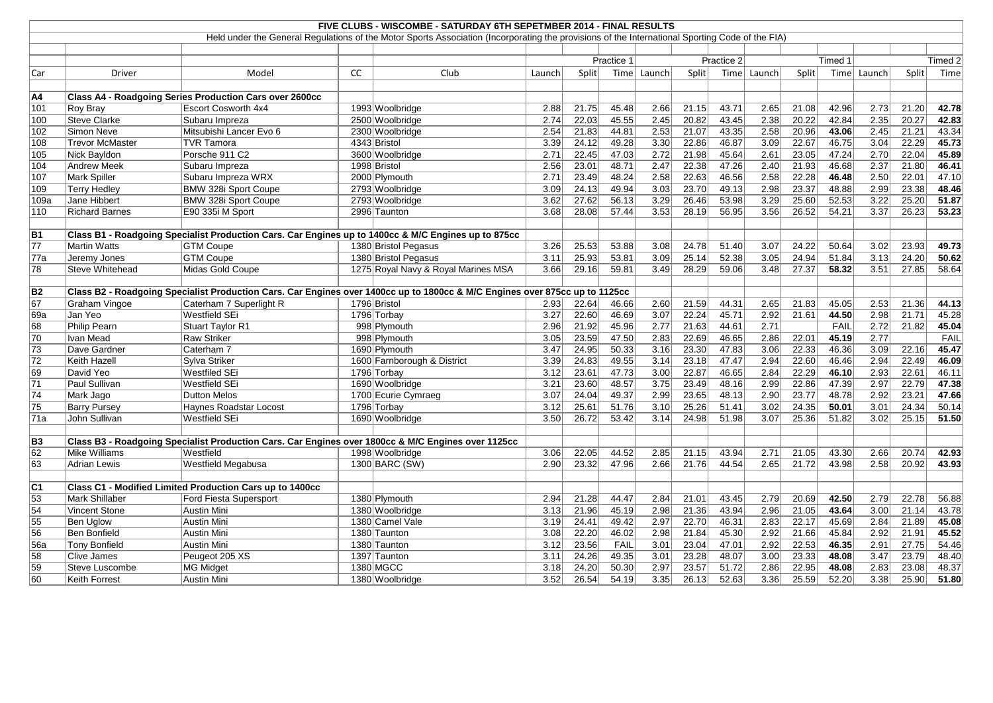|                 |                       |                                                                                                                             |    | FIVE CLUBS - WISCOMBE - SATURDAY 6TH SEPETMBER 2014 - FINAL RESULTS                                                                             |        |       |             |        |       |            |        |       |             |        |       |         |
|-----------------|-----------------------|-----------------------------------------------------------------------------------------------------------------------------|----|-------------------------------------------------------------------------------------------------------------------------------------------------|--------|-------|-------------|--------|-------|------------|--------|-------|-------------|--------|-------|---------|
|                 |                       |                                                                                                                             |    | Held under the General Regulations of the Motor Sports Association (Incorporating the provisions of the International Sporting Code of the FIA) |        |       |             |        |       |            |        |       |             |        |       |         |
|                 |                       |                                                                                                                             |    |                                                                                                                                                 |        |       |             |        |       |            |        |       |             |        |       |         |
|                 |                       |                                                                                                                             |    |                                                                                                                                                 |        |       | Practice 1  |        |       | Practice 2 |        |       | Timed 1     |        |       | Timed 2 |
| Car             | Driver                | Model                                                                                                                       | CC | Club                                                                                                                                            | Launch | Split | Time        | Launch | Split | Time       | Launch | Split | Time        | Launch | Split | Time    |
| A4              |                       | Class A4 - Roadgoing Series Production Cars over 2600cc                                                                     |    |                                                                                                                                                 |        |       |             |        |       |            |        |       |             |        |       |         |
| 101             | Roy Bray              | <b>Escort Cosworth 4x4</b>                                                                                                  |    | 1993 Woolbridge                                                                                                                                 | 2.88   | 21.75 | 45.48       | 2.66   | 21.15 | 43.71      | 2.65   | 21.08 | 42.96       | 2.73   | 21.20 | 42.78   |
| 100             | Steve Clarke          | Subaru Impreza                                                                                                              |    | 2500 Woolbridge                                                                                                                                 | 2.74   | 22.03 | 45.55       | 2.45   | 20.82 | 43.45      | 2.38   | 20.22 | 42.84       | 2.35   | 20.27 | 42.83   |
| 102             | Simon Neve            | Mitsubishi Lancer Evo 6                                                                                                     |    | 2300 Woolbridge                                                                                                                                 | 2.54   | 21.83 | 44.81       | 2.53   | 21.07 | 43.35      | 2.58   | 20.96 | 43.06       | 2.45   | 21.21 | 43.34   |
| 108             | Trevor McMaster       | <b>TVR Tamora</b>                                                                                                           |    | 4343 Bristol                                                                                                                                    | 3.39   | 24.12 | 49.28       | 3.30   | 22.86 | 46.87      | 3.09   | 22.67 | 46.75       | 3.04   | 22.29 | 45.73   |
| 105             | Nick Bayldon          | Porsche 911 C2                                                                                                              |    | 3600 Woolbridge                                                                                                                                 | 2.71   | 22.45 | 47.03       | 2.72   | 21.98 | 45.64      | 2.61   | 23.05 | 47.24       | 2.70   | 22.04 | 45.89   |
| 104             | Andrew Meek           | Subaru Impreza                                                                                                              |    | 1998 Bristol                                                                                                                                    | 2.56   | 23.01 | 48.71       | 2.47   | 22.38 | 47.26      | 2.40   | 21.93 | 46.68       | 2.37   | 21.80 | 46.41   |
| 107             | Mark Spiller          | Subaru Impreza WRX                                                                                                          |    | 2000 Plymouth                                                                                                                                   | 2.71   | 23.49 | 48.24       | 2.58   | 22.63 | 46.56      | 2.58   | 22.28 | 46.48       | 2.50   | 22.01 | 47.10   |
| 109             | <b>Terry Hedley</b>   | BMW 328i Sport Coupe                                                                                                        |    | 2793 Woolbridge                                                                                                                                 | 3.09   | 24.13 | 49.94       | 3.03   | 23.70 | 49.13      | 2.98   | 23.37 | 48.88       | 2.99   | 23.38 | 48.46   |
| 109a            | Jane Hibbert          | BMW 328i Sport Coupe                                                                                                        |    | 2793 Woolbridge                                                                                                                                 | 3.62   | 27.62 | 56.13       | 3.29   | 26.46 | 53.98      | 3.29   | 25.60 | 52.53       | 3.22   | 25.20 | 51.87   |
| 110             | <b>Richard Barnes</b> | E90 335i M Sport                                                                                                            |    | 2996 Taunton                                                                                                                                    | 3.68   | 28.08 | 57.44       | 3.53   | 28.19 | 56.95      | 3.56   | 26.52 | 54.21       | 3.37   | 26.23 | 53.23   |
|                 |                       |                                                                                                                             |    |                                                                                                                                                 |        |       |             |        |       |            |        |       |             |        |       |         |
| B1              |                       | Class B1 - Roadgoing Specialist Production Cars. Car Engines up to 1400cc & M/C Engines up to 875cc                         |    |                                                                                                                                                 |        |       |             |        |       |            |        |       |             |        |       |         |
| 77              | Martin Watts          | <b>GTM Coupe</b>                                                                                                            |    | 1380 Bristol Pegasus                                                                                                                            | 3.26   | 25.53 | 53.88       | 3.08   | 24.78 | 51.40      | 3.07   | 24.22 | 50.64       | 3.02   | 23.93 | 49.73   |
| 77a             | Jeremy Jones          | <b>GTM Coupe</b>                                                                                                            |    | 1380 Bristol Pegasus                                                                                                                            | 3.11   | 25.93 | 53.81       | 3.09   | 25.14 | 52.38      | 3.05   | 24.94 | 51.84       | 3.13   | 24.20 | 50.62   |
| 78              | Steve Whitehead       | Midas Gold Coupe                                                                                                            |    | 1275 Royal Navy & Royal Marines MSA                                                                                                             | 3.66   | 29.16 | 59.81       | 3.49   | 28.29 | 59.06      | 3.48   | 27.37 | 58.32       | 3.51   | 27.85 | 58.64   |
|                 |                       |                                                                                                                             |    |                                                                                                                                                 |        |       |             |        |       |            |        |       |             |        |       |         |
| <b>B2</b>       |                       | Class B2 - Roadgoing Specialist Production Cars. Car Engines over 1400cc up to 1800cc & M/C Engines over 875cc up to 1125cc |    |                                                                                                                                                 |        |       |             |        |       |            |        |       |             |        |       |         |
| 67              | Graham Vingoe         | Caterham 7 Superlight R                                                                                                     |    | 1796 Bristol                                                                                                                                    | 2.93   | 22.64 | 46.66       | 2.60   | 21.59 | 44.31      | 2.65   | 21.83 | 45.05       | 2.53   | 21.36 | 44.13   |
| 69a             | Jan Yeo               | Westfield SEi                                                                                                               |    | 1796 Torbay                                                                                                                                     | 3.27   | 22.60 | 46.69       | 3.07   | 22.24 | 45.71      | 2.92   | 21.61 | 44.50       | 2.98   | 21.71 | 45.28   |
| 68              | Philip Pearn          | Stuart Taylor R1                                                                                                            |    | 998 Plymouth                                                                                                                                    | 2.96   | 21.92 | 45.96       | 2.77   | 21.63 | 44.61      | 2.71   |       | <b>FAIL</b> | 2.72   | 21.82 | 45.04   |
| 70              | Ivan Mead             | <b>Raw Striker</b>                                                                                                          |    | 998 Plymouth                                                                                                                                    | 3.05   | 23.59 | 47.50       | 2.83   | 22.69 | 46.65      | 2.86   | 22.01 | 45.19       | 2.77   |       | FAIL    |
| 73              | Dave Gardner          | Caterham 7                                                                                                                  |    | 1690 Plymouth                                                                                                                                   | 3.47   | 24.95 | 50.33       | 3.16   | 23.30 | 47.83      | 3.06   | 22.33 | 46.36       | 3.09   | 22.16 | 45.47   |
| $\overline{72}$ | Keith Hazell          | Sylva Striker                                                                                                               |    | 1600 Farnborough & District                                                                                                                     | 3.39   | 24.83 | 49.55       | 3.14   | 23.18 | 47.47      | 2.94   | 22.60 | 46.46       | 2.94   | 22.49 | 46.09   |
| 69              | David Yeo             | Westfiled SEi                                                                                                               |    | 1796 Torbay                                                                                                                                     | 3.12   | 23.61 | 47.73       | 3.00   | 22.87 | 46.65      | 2.84   | 22.29 | 46.10       | 2.93   | 22.61 | 46.11   |
| 71              | Paul Sullivan         | Westfield SEi                                                                                                               |    | 1690 Woolbridge                                                                                                                                 | 3.21   | 23.60 | 48.57       | 3.75   | 23.49 | 48.16      | 2.99   | 22.86 | 47.39       | 2.97   | 22.79 | 47.38   |
| 74              | Mark Jago             | <b>Dutton Melos</b>                                                                                                         |    | 1700 Ecurie Cymraeg                                                                                                                             | 3.07   | 24.04 | 49.37       | 2.99   | 23.65 | 48.13      | 2.90   | 23.77 | 48.78       | 2.92   | 23.21 | 47.66   |
| 75              | <b>Barry Pursey</b>   | Haynes Roadstar Locost                                                                                                      |    | 1796 Torbay                                                                                                                                     | 3.12   | 25.61 | 51.76       | 3.10   | 25.26 | 51.41      | 3.02   | 24.35 | 50.01       | 3.01   | 24.34 | 50.14   |
| 71a             | John Sullivan         | Westfield SEi                                                                                                               |    | 1690 Woolbridge                                                                                                                                 | 3.50   | 26.72 | 53.42       | 3.14   | 24.98 | 51.98      | 3.07   | 25.36 | 51.82       | 3.02   | 25.15 | 51.50   |
|                 |                       |                                                                                                                             |    |                                                                                                                                                 |        |       |             |        |       |            |        |       |             |        |       |         |
| $\overline{B3}$ |                       | Class B3 - Roadgoing Specialist Production Cars. Car Engines over 1800cc & M/C Engines over 1125cc                          |    |                                                                                                                                                 |        |       |             |        |       |            |        |       |             |        |       |         |
| 62              | Mike Williams         | Westfield                                                                                                                   |    | 1998 Woolbridge                                                                                                                                 | 3.06   | 22.05 | 44.52       | 2.85   | 21.15 | 43.94      | 2.71   | 21.05 | 43.30       | 2.66   | 20.74 | 42.93   |
| 63              | Adrian Lewis          | <b>Westfield Megabusa</b>                                                                                                   |    | 1300 BARC (SW)                                                                                                                                  | 2.90   | 23.32 | 47.96       | 2.66   | 21.76 | 44.54      | 2.65   | 21.72 | 43.98       | 2.58   | 20.92 | 43.93   |
|                 |                       |                                                                                                                             |    |                                                                                                                                                 |        |       |             |        |       |            |        |       |             |        |       |         |
| C <sub>1</sub>  |                       | Class C1 - Modified Limited Production Cars up to 1400cc                                                                    |    |                                                                                                                                                 |        |       |             |        |       |            |        |       |             |        |       |         |
| 53              | Mark Shillaber        | Ford Fiesta Supersport                                                                                                      |    | 1380 Plymouth                                                                                                                                   | 2.94   | 21.28 | 44.47       | 2.84   | 21.01 | 43.45      | 2.79   | 20.69 | 42.50       | 2.79   | 22.78 | 56.88   |
| 54              | Vincent Stone         | Austin Mini                                                                                                                 |    | 1380 Woolbridge                                                                                                                                 | 3.13   | 21.96 | 45.19       | 2.98   | 21.36 | 43.94      | 2.96   | 21.05 | 43.64       | 3.00   | 21.14 | 43.78   |
| 55              | Ben Uglow             | Austin Mini                                                                                                                 |    | 1380 Camel Vale                                                                                                                                 | 3.19   | 24.41 | 49.42       | 2.97   | 22.70 | 46.31      | 2.83   | 22.17 | 45.69       | 2.84   | 21.89 | 45.08   |
| 56              | Ben Bonfield          | Austin Mini                                                                                                                 |    | 1380 Taunton                                                                                                                                    | 3.08   | 22.20 | 46.02       | 2.98   | 21.84 | 45.30      | 2.92   | 21.66 | 45.84       | 2.92   | 21.91 | 45.52   |
| <b>56a</b>      | Tony Bonfield         | Austin Mini                                                                                                                 |    | 1380 Taunton                                                                                                                                    | 3.12   | 23.56 | <b>FAIL</b> | 3.01   | 23.04 | 47.01      | 2.92   | 22.53 | 46.35       | 2.91   | 27.75 | 54.46   |
| 58              | Clive James           | Peugeot 205 XS                                                                                                              |    | 1397 Taunton                                                                                                                                    | 3.11   | 24.26 | 49.35       | 3.01   | 23.28 | 48.07      | 3.00   | 23.33 | 48.08       | 3.47   | 23.79 | 48.40   |
| 59              | Steve Luscombe        | <b>MG Midget</b>                                                                                                            |    | 1380 MGCC                                                                                                                                       | 3.18   | 24.20 | 50.30       | 2.97   | 23.57 | 51.72      | 2.86   | 22.95 | 48.08       | 2.83   | 23.08 | 48.37   |
| 60              | Keith Forrest         | Austin Mini                                                                                                                 |    | 1380 Woolbridge                                                                                                                                 | 3.52   | 26.54 | 54.19       | 3.35   | 26.13 | 52.63      | 3.36   | 25.59 | 52.20       | 3.38   | 25.90 | 51.80   |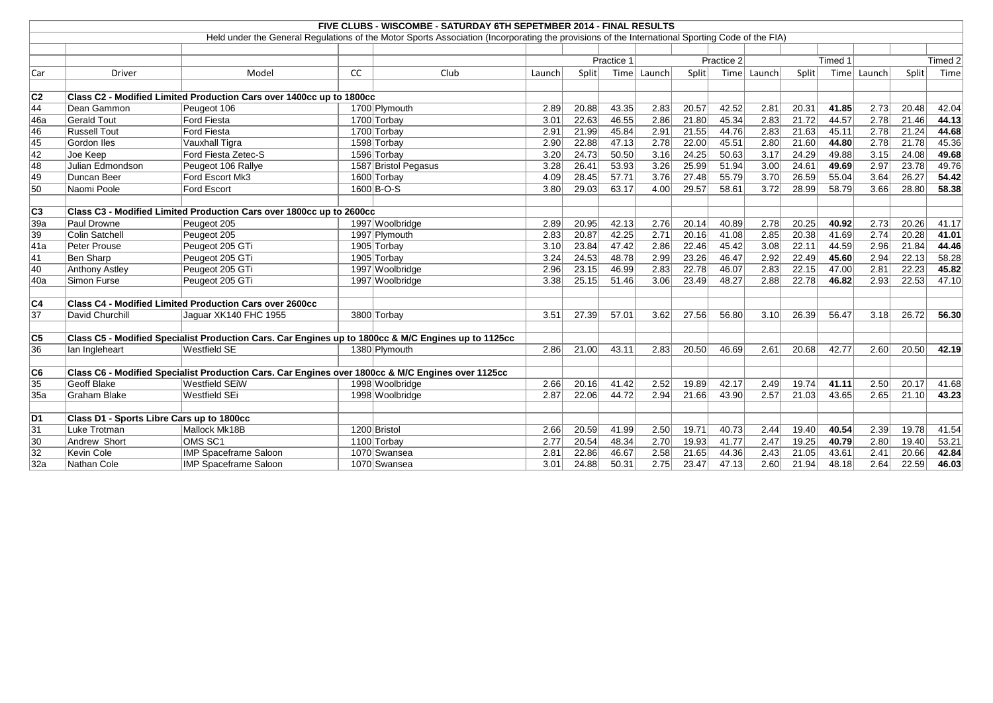|                 |                                                                      |                                                                                                     |    | FIVE CLUBS - WISCOMBE - SATURDAY 6TH SEPETMBER 2014 - FINAL RESULTS                                                                             |        |       |            |                   |       |            |                   |       |         |             |       |         |
|-----------------|----------------------------------------------------------------------|-----------------------------------------------------------------------------------------------------|----|-------------------------------------------------------------------------------------------------------------------------------------------------|--------|-------|------------|-------------------|-------|------------|-------------------|-------|---------|-------------|-------|---------|
|                 |                                                                      |                                                                                                     |    | Held under the General Regulations of the Motor Sports Association (Incorporating the provisions of the International Sporting Code of the FIA) |        |       |            |                   |       |            |                   |       |         |             |       |         |
|                 |                                                                      |                                                                                                     |    |                                                                                                                                                 |        |       |            |                   |       |            |                   |       |         |             |       |         |
|                 |                                                                      |                                                                                                     |    |                                                                                                                                                 |        |       | Practice 1 |                   |       | Practice 2 |                   |       | Timed 1 |             |       | Timed 2 |
| Car             | <b>Driver</b>                                                        | Model                                                                                               | cc | Club                                                                                                                                            | Launch | Split |            | Time Launch       | Split |            | Time Launch       | Split |         | Time Launch | Split | Time    |
|                 |                                                                      |                                                                                                     |    |                                                                                                                                                 |        |       |            |                   |       |            |                   |       |         |             |       |         |
| C <sub>2</sub>  |                                                                      | Class C2 - Modified Limited Production Cars over 1400cc up to 1800cc                                |    |                                                                                                                                                 |        |       |            |                   |       |            |                   |       |         |             |       |         |
| 44              | Dean Gammon                                                          | Peugeot 106                                                                                         |    | 1700 Plymouth                                                                                                                                   | 2.89   | 20.88 | 43.35      | 2.83              | 20.57 | 42.52      | 2.81              | 20.31 | 41.85   | 2.73        | 20.48 | 42.04   |
| 46a             | Gerald Tout                                                          | <b>Ford Fiesta</b>                                                                                  |    | 1700 Torbay                                                                                                                                     | 3.01   | 22.63 | 46.55      | 2.86              | 21.80 | 45.34      | 2.83              | 21.72 | 44.57   | 2.78        | 21.46 | 44.13   |
| 46              | <b>Russell Tout</b>                                                  | <b>Ford Fiesta</b>                                                                                  |    | 1700 Torbay                                                                                                                                     | 2.91   | 21.99 | 45.84      | 2.91              | 21.55 | 44.76      | 2.83              | 21.63 | 45.11   | 2.78        | 21.24 | 44.68   |
| 45              | Gordon Iles                                                          | Vauxhall Tigra                                                                                      |    | 1598 Torbay                                                                                                                                     | 2.90   | 22.88 | 47.13      | 2.78              | 22.00 | 45.51      | 2.80              | 21.60 | 44.80   | 2.78        | 21.78 | 45.36   |
| 42              | Joe Keep                                                             | Ford Fiesta Zetec-S                                                                                 |    | 1596 Torbay                                                                                                                                     | 3.20   | 24.73 | 50.50      | 3.16              | 24.25 | 50.63      | 3.17              | 24.29 | 49.88   | 3.15        | 24.08 | 49.68   |
| 48              | Julian Edmondson                                                     | Peugeot 106 Rallye                                                                                  |    | 1587 Bristol Pegasus                                                                                                                            | 3.28   | 26.41 | 53.93      | $\overline{3.26}$ | 25.99 | 51.94      | 3.00              | 24.61 | 49.69   | 2.97        | 23.78 | 49.76   |
| 49              | Duncan Beer                                                          | Ford Escort Mk3                                                                                     |    | 1600 Torbay                                                                                                                                     | 4.09   | 28.45 | 57.71      | 3.76              | 27.48 | 55.79      | $\overline{3.70}$ | 26.59 | 55.04   | 3.64        | 26.27 | 54.42   |
| 50              | Naomi Poole                                                          | Ford Escort                                                                                         |    | $1600 B-O-S$                                                                                                                                    | 3.80   | 29.03 | 63.17      | 4.00              | 29.57 | 58.61      | 3.72              | 28.99 | 58.79   | 3.66        | 28.80 | 58.38   |
|                 |                                                                      |                                                                                                     |    |                                                                                                                                                 |        |       |            |                   |       |            |                   |       |         |             |       |         |
| $\overline{C3}$ | Class C3 - Modified Limited Production Cars over 1800cc up to 2600cc |                                                                                                     |    |                                                                                                                                                 |        |       |            |                   |       |            |                   |       |         |             |       |         |
| 39a             | Paul Drowne                                                          | Peugeot 205                                                                                         |    | 1997 Woolbridge                                                                                                                                 | 2.89   | 20.95 | 42.13      | 2.76              | 20.14 | 40.89      | 2.78              | 20.25 | 40.92   | 2.73        | 20.26 | 41.17   |
| 39              | Colin Satchell                                                       | Peugeot 205                                                                                         |    | 1997 Plymouth                                                                                                                                   | 2.83   | 20.87 | 42.25      | 2.71              | 20.16 | 41.08      | 2.85              | 20.38 | 41.69   | 2.74        | 20.28 | 41.01   |
| 41a             | Peter Prouse                                                         | Peugeot 205 GTi                                                                                     |    | 1905 Torbay                                                                                                                                     | 3.10   | 23.84 | 47.42      | 2.86              | 22.46 | 45.42      | 3.08              | 22.11 | 44.59   | 2.96        | 21.84 | 44.46   |
| 41              | <b>Ben Sharp</b>                                                     | Peugeot 205 GTi                                                                                     |    | 1905 Torbay                                                                                                                                     | 3.24   | 24.53 | 48.78      | 2.99              | 23.26 | 46.47      | 2.92              | 22.49 | 45.60   | 2.94        | 22.13 | 58.28   |
| 40              | Anthony Astley                                                       | Peugeot 205 GTi                                                                                     |    | 1997 Woolbridge                                                                                                                                 | 2.96   | 23.15 | 46.99      | 2.83              | 22.78 | 46.07      | 2.83              | 22.15 | 47.00   | 2.81        | 22.23 | 45.82   |
| 40a             | Simon Furse                                                          | Peugeot 205 GTi                                                                                     |    | 1997 Woolbridge                                                                                                                                 | 3.38   | 25.15 | 51.46      | 3.06              | 23.49 | 48.27      | 2.88              | 22.78 | 46.82   | 2.93        | 22.53 | 47.10   |
|                 |                                                                      |                                                                                                     |    |                                                                                                                                                 |        |       |            |                   |       |            |                   |       |         |             |       |         |
| $\overline{C4}$ |                                                                      | <b>Class C4 - Modified Limited Production Cars over 2600cc</b>                                      |    |                                                                                                                                                 |        |       |            |                   |       |            |                   |       |         |             |       |         |
| $\overline{37}$ | David Churchill                                                      | Jaguar XK140 FHC 1955                                                                               |    | 3800 Torbay                                                                                                                                     | 3.51   | 27.39 | 57.01      | 3.62              | 27.56 | 56.80      | 3.10              | 26.39 | 56.47   | 3.18        | 26.72 | 56.30   |
|                 |                                                                      |                                                                                                     |    |                                                                                                                                                 |        |       |            |                   |       |            |                   |       |         |             |       |         |
| C5              |                                                                      | Class C5 - Modified Specialist Production Cars. Car Engines up to 1800cc & M/C Engines up to 1125cc |    |                                                                                                                                                 |        |       |            |                   |       |            |                   |       |         |             |       |         |
| 36              | lan Ingleheart                                                       | Westfield SE                                                                                        |    | 1380 Plymouth                                                                                                                                   | 2.86   | 21.00 | 43.11      | 2.83              | 20.50 | 46.69      | 2.61              | 20.68 | 42.77   | 2.60        | 20.50 | 42.19   |
| C6              |                                                                      | Class C6 - Modified Specialist Production Cars. Car Engines over 1800cc & M/C Engines over 1125cc   |    |                                                                                                                                                 |        |       |            |                   |       |            |                   |       |         |             |       |         |
| 35              | Geoff Blake                                                          | Westfield SEiW                                                                                      |    | 1998 Woolbridge                                                                                                                                 | 2.66   | 20.16 | 41.42      | 2.52              | 19.89 | 42.17      | 2.49              | 19.74 | 41.11   | 2.50        | 20.17 | 41.68   |
| 35a             | Graham Blake                                                         | Westfield SEi                                                                                       |    | 1998 Woolbridge                                                                                                                                 | 2.87   | 22.06 | 44.72      | 2.94              | 21.66 | 43.90      | 2.57              | 21.03 | 43.65   | 2.65        | 21.10 | 43.23   |
|                 |                                                                      |                                                                                                     |    |                                                                                                                                                 |        |       |            |                   |       |            |                   |       |         |             |       |         |
| D1              | Class D1 - Sports Libre Cars up to 1800cc                            |                                                                                                     |    |                                                                                                                                                 |        |       |            |                   |       |            |                   |       |         |             |       |         |
| 31              | Luke Trotman                                                         | Mallock Mk18B                                                                                       |    | 1200 Bristol                                                                                                                                    | 2.66   | 20.59 | 41.99      | 2.50              | 19.71 | 40.73      | 2.44              | 19.40 | 40.54   | 2.39        | 19.78 | 41.54   |
| 30              | Andrew Short                                                         | OMS SC1                                                                                             |    | 1100 Torbay                                                                                                                                     | 2.77   | 20.54 | 48.34      | 2.70              | 19.93 | 41.77      | 2.47              | 19.25 | 40.79   | 2.80        | 19.40 | 53.21   |
| 32              | Kevin Cole                                                           | <b>IMP Spaceframe Saloon</b>                                                                        |    | 1070 Swansea                                                                                                                                    | 2.81   | 22.86 | 46.67      | 2.58              | 21.65 | 44.36      | 2.43              | 21.05 | 43.61   | 2.41        | 20.66 | 42.84   |
| 32a             | Nathan Cole                                                          | <b>IMP Spaceframe Saloon</b>                                                                        |    | 1070 Swansea                                                                                                                                    | 3.01   | 24.88 | 50.31      | 2.75              | 23.47 | 47.13      | 2.60              | 21.94 | 48.18   | 2.64        | 22.59 | 46.03   |